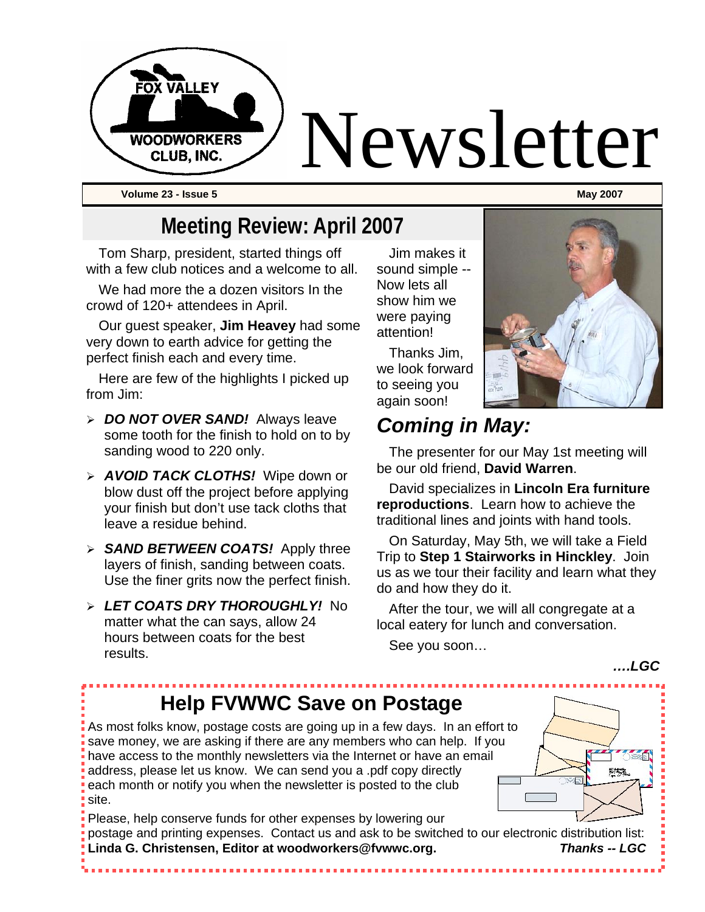

# **Meeting Review: April 2007**

Tom Sharp, president, started things off with a few club notices and a welcome to all.

We had more the a dozen visitors In the crowd of 120+ attendees in April.

Our guest speaker, **Jim Heavey** had some very down to earth advice for getting the perfect finish each and every time.

Here are few of the highlights I picked up from Jim:

- ¾ *DO NOT OVER SAND!* Always leave some tooth for the finish to hold on to by sanding wood to 220 only.
- ¾ *AVOID TACK CLOTHS!* Wipe down or blow dust off the project before applying your finish but don't use tack cloths that leave a residue behind.
- ¾ *SAND BETWEEN COATS!* Apply three layers of finish, sanding between coats. Use the finer grits now the perfect finish.
- ¾ *LET COATS DRY THOROUGHLY!* No matter what the can says, allow 24 hours between coats for the best results.

Jim makes it sound simple -- Now lets all show him we were paying attention!

Thanks Jim, we look forward to seeing you again soon!



# *Coming in May:*

The presenter for our May 1st meeting will be our old friend, **David Warren**.

David specializes in **Lincoln Era furniture reproductions**. Learn how to achieve the traditional lines and joints with hand tools.

On Saturday, May 5th, we will take a Field Trip to **Step 1 Stairworks in Hinckley**. Join us as we tour their facility and learn what they do and how they do it.

After the tour, we will all congregate at a local eatery for lunch and conversation.

See you soon…

#### *….LGC*

製作

# **Help FVWWC Save on Postage**

As most folks know, postage costs are going up in a few days. In an effort to save money, we are asking if there are any members who can help. If you have access to the monthly newsletters via the Internet or have an email address, please let us know. We can send you a .pdf copy directly each month or notify you when the newsletter is posted to the club site.

Please, help conserve funds for other expenses by lowering our postage and printing expenses. Contact us and ask to be switched to our electronic distribution list: **Linda G. Christensen, Editor at woodworkers@fvwwc.org.** *Thanks -- LGC*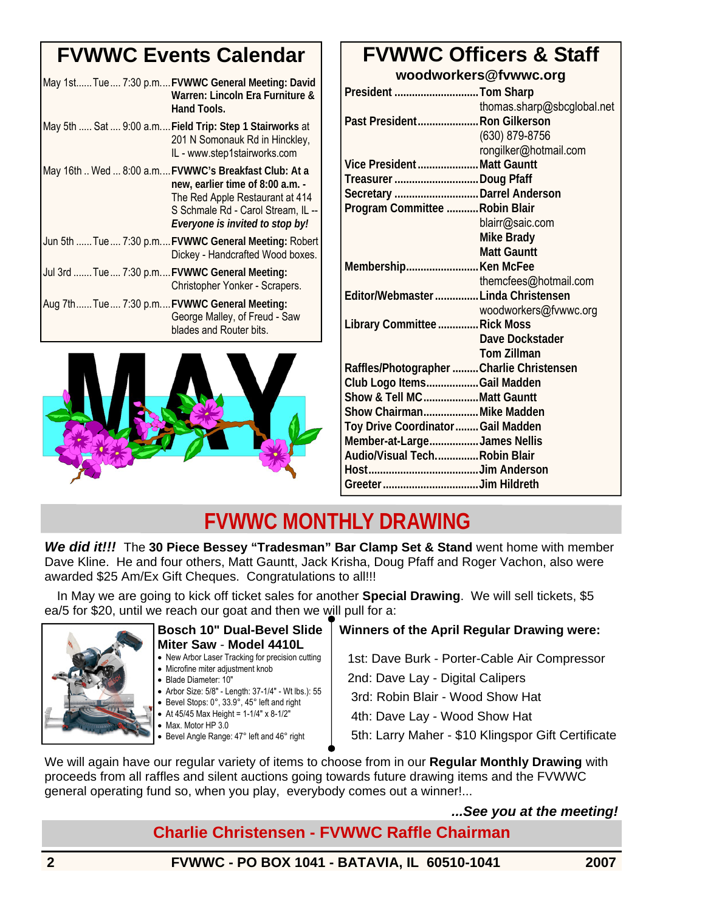## **FVWWC Events Calendar**

| May 1stTue7:30 p.mFVWWC General Meeting: David<br>Warren: Lincoln Era Furniture &<br>Hand Tools.                                                                                                     |
|------------------------------------------------------------------------------------------------------------------------------------------------------------------------------------------------------|
| May 5th  Sat  9:00 a.m Field Trip: Step 1 Stairworks at<br>201 N Somonauk Rd in Hinckley,<br>IL - www.step1stairworks.com                                                                            |
| May 16th  Wed  8:00 a.m FVWWC's Breakfast Club: At a<br>new, earlier time of 8:00 a.m. -<br>The Red Apple Restaurant at 414<br>S Schmale Rd - Carol Stream, IL --<br>Everyone is invited to stop by! |
| Jun 5th  Tue  7:30 p.m FVWWC General Meeting: Robert<br>Dickey - Handcrafted Wood boxes.                                                                                                             |
| Jul 3rd Tue 7:30 p.mFVWWC General Meeting:<br>Christopher Yonker - Scrapers.                                                                                                                         |
| Aug 7thTue7:30 p.mFVWWC General Meeting:<br>George Malley, of Freud - Saw<br>blades and Router bits.                                                                                                 |



### **FVWWC Officers & Staff woodworkers@fvwwc.org**

| President Tom Sharp                      |                            |
|------------------------------------------|----------------------------|
|                                          | thomas.sharp@sbcglobal.net |
| Past President Ron Gilkerson             |                            |
|                                          | (630) 879-8756             |
|                                          | rongilker@hotmail.com      |
| Vice President Matt Gauntt               |                            |
| Treasurer Doug Pfaff                     |                            |
| Secretary Darrel Anderson                |                            |
| Program Committee  Robin Blair           |                            |
|                                          | blairr@saic.com            |
|                                          | Mike Brady                 |
|                                          | <b>Matt Gauntt</b>         |
| Membership Ken McFee                     |                            |
|                                          | themcfees@hotmail.com      |
| Editor/Webmaster  Linda Christensen      |                            |
|                                          | woodworkers@fvwwc.org      |
| Library Committee  Rick Moss             |                            |
|                                          | Dave Dockstader            |
|                                          | <b>Tom Zillman</b>         |
| Raffles/Photographer Charlie Christensen |                            |
| Club Logo ItemsGail Madden               |                            |
| Show & Tell MCMatt Gauntt                |                            |
| Show Chairman Mike Madden                |                            |
| Toy Drive Coordinator  Gail Madden       |                            |
| Member-at-LargeJames Nellis              |                            |
| Audio/Visual TechRobin Blair             |                            |
|                                          |                            |
|                                          |                            |

## **FVWWC MONTHLY DRAWING**

*We did it!!!* The **30 Piece Bessey "Tradesman" Bar Clamp Set & Stand** went home with member Dave Kline. He and four others, Matt Gauntt, Jack Krisha, Doug Pfaff and Roger Vachon, also were awarded \$25 Am/Ex Gift Cheques. Congratulations to all!!!

In May we are going to kick off ticket sales for another **Special Drawing**. We will sell tickets, \$5 ea/5 for \$20, until we reach our goat and then we will pull for a:



#### **Bosch 10" Dual-Bevel Slide Miter Saw** - **Model 4410L**

- New Arbor Laser Tracking for precision cutting
- Microfine miter adjustment knob
- Blade Diameter: 10″
- Arbor Size: 5/8″ Length: 37-1/4″ Wt lbs.): 55 • Bevel Stops: 0°, 33.9°, 45° left and right
- At  $45/45$  Max Height =  $1-1/4$ " x 8-1/2"
- Max. Motor HP 3.0
- Bevel Angle Range: 47° left and 46° right

### **Winners of the April Regular Drawing were:**

1st: Dave Burk - Porter-Cable Air Compressor

2nd: Dave Lay - Digital Calipers

3rd: Robin Blair - Wood Show Hat

4th: Dave Lay - Wood Show Hat

5th: Larry Maher - \$10 Klingspor Gift Certificate

We will again have our regular variety of items to choose from in our **Regular Monthly Drawing** with proceeds from all raffles and silent auctions going towards future drawing items and the FVWWC general operating fund so, when you play, everybody comes out a winner!...

### *...See you at the meeting!*

### **Charlie Christensen - FVWWC Raffle Chairman**

**2 FVWWC - PO BOX 1041 - BATAVIA, IL 60510-1041 2007**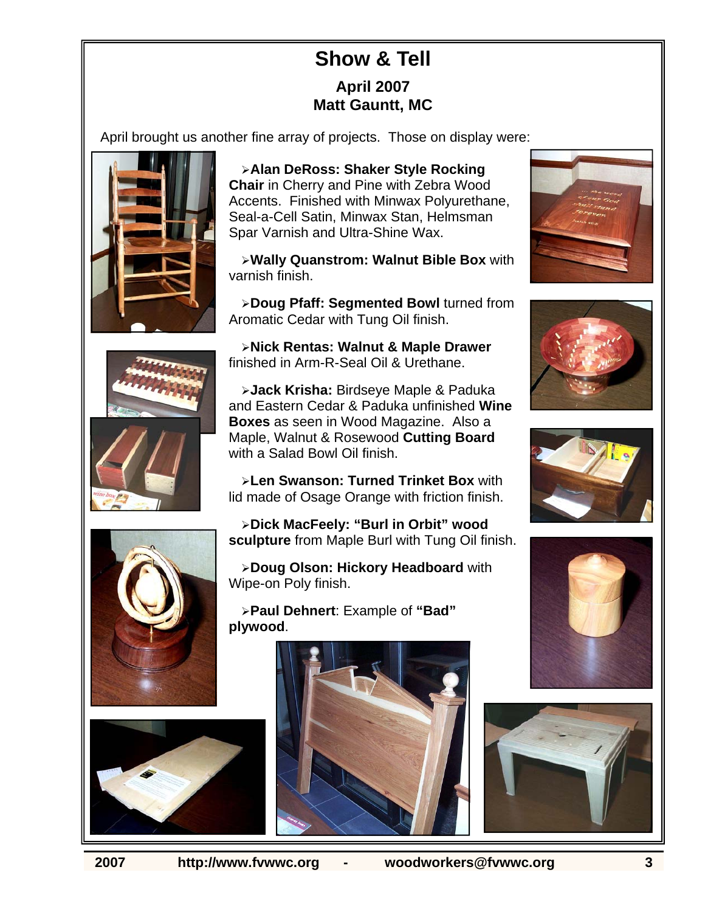### **Show & Tell April 2007 Matt Gauntt, MC**

April brought us another fine array of projects. Those on display were:











¾**Alan DeRoss: Shaker Style Rocking Chair** in Cherry and Pine with Zebra Wood Accents. Finished with Minwax Polyurethane, Seal-a-Cell Satin, Minwax Stan, Helmsman Spar Varnish and Ultra-Shine Wax.

¾**Wally Quanstrom: Walnut Bible Box** with varnish finish.

¾**Doug Pfaff: Segmented Bowl** turned from Aromatic Cedar with Tung Oil finish.

¾**Nick Rentas: Walnut & Maple Drawer**  finished in Arm-R-Seal Oil & Urethane.

¾**Jack Krisha:** Birdseye Maple & Paduka and Eastern Cedar & Paduka unfinished **Wine Boxes** as seen in Wood Magazine. Also a Maple, Walnut & Rosewood **Cutting Board**  with a Salad Bowl Oil finish.

¾**Len Swanson: Turned Trinket Box** with lid made of Osage Orange with friction finish.

¾**Dick MacFeely: "Burl in Orbit" wood sculpture** from Maple Burl with Tung Oil finish.

¾**Doug Olson: Hickory Headboard** with Wipe-on Poly finish.

¾**Paul Dehnert**: Example of **"Bad" plywood**.













**2007 http://www.fvwwc.org - woodworkers@fvwwc.org 3**